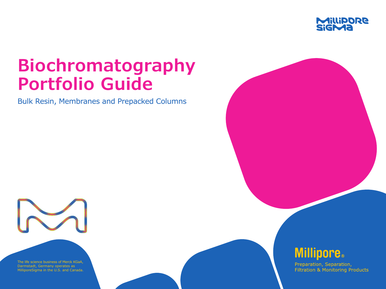

## **Biochromatography Portfolio Guide**

Bulk Resin, Membranes and Prepacked Columns



The life science business of Merck KGaA, Darmstadt, Germany operates as MilliporeSigma in the U.S. and Canada.



## **Millipore.**

Preparation, Separation, **Filtration & Monitoring Products**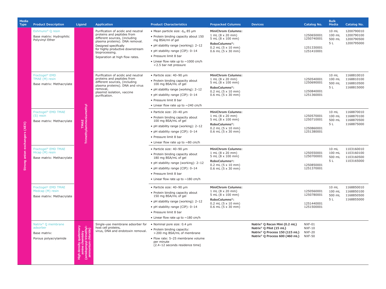| <b>Media</b><br><b>Type</b>   | <b>Product Description</b>                                                          | Ligand                                                                        | <b>Application</b>                                                                                                                                                                              | <b>Product Characteristics</b>                                                                                                                                                                                                          | <b>Prepacked Columns</b>                                                                                                                                                      | <b>Devices</b>                                                                                                                                                   | Catalog No.                                                                                                                                                                                                                                          | <b>Bulk</b><br><b>Media</b>                                                                                                                                                                                                                                                         | Catalog No.                                                                                                                                                      |                                                      |                                                      |                                           |                                                      |
|-------------------------------|-------------------------------------------------------------------------------------|-------------------------------------------------------------------------------|-------------------------------------------------------------------------------------------------------------------------------------------------------------------------------------------------|-----------------------------------------------------------------------------------------------------------------------------------------------------------------------------------------------------------------------------------------|-------------------------------------------------------------------------------------------------------------------------------------------------------------------------------|------------------------------------------------------------------------------------------------------------------------------------------------------------------|------------------------------------------------------------------------------------------------------------------------------------------------------------------------------------------------------------------------------------------------------|-------------------------------------------------------------------------------------------------------------------------------------------------------------------------------------------------------------------------------------------------------------------------------------|------------------------------------------------------------------------------------------------------------------------------------------------------------------|------------------------------------------------------|------------------------------------------------------|-------------------------------------------|------------------------------------------------------|
|                               | Eshmuno <sup>®</sup> Q resin<br>Base matrix: Hydrophilic<br>Polyvinyl Ether         |                                                                               |                                                                                                                                                                                                 |                                                                                                                                                                                                                                         |                                                                                                                                                                               |                                                                                                                                                                  | Purification of acidic and neutral<br>proteins and peptides from<br>different sources, (including<br>plasma proteins). DNA removal.<br>Designed specifically<br>for highly productive downstream<br>bioprocessing.<br>Separation at high flow rates. | • Mean particle size: d <sub>50</sub> 85 µm<br>· Protein binding capacity about 150<br>mg BSA/ml of gel<br>• pH stability range (working): 2-12<br>• pH stability range (CIP): 0-14<br>• Pressure limit 8 bar<br>• Linear flow rate up to $\sim$ 1000 cm/h<br><2.5 bar net pressure | <b>MiniChrom Columns:</b><br>1 mL (8 × 20 mm)<br>5 mL (8 x 100 mm)<br>RoboColumns <sup>®</sup> :<br>$0.2$ mL $(5 \times 10$ mm)<br>$0.6$ mL $(5 \times 30$ mm)   |                                                      | 1250650001<br>1250740001<br>1251330001<br>1251410001 | 10 mL<br>100 mL<br>500 mL<br>5 L          | 1200790010<br>1200790100<br>1200790500<br>1200795000 |
|                               | Fractogel <sup>®</sup> EMD<br>TMAE (M) resin<br>Base matrix: Methacrylate           |                                                                               | Purification of acidic and neutral<br>proteins and peptides from<br>different sources, (including<br>plasma proteins). DNA and virus<br>removal,<br>plasmid isolation, vaccine<br>purification. | · Particle size: 40-90 µm<br>• Protein binding capacity about<br>100 mg BSA/mL of gel<br>• pH stability range (working): 2-12<br>• pH stability range (CIP): 0-14<br>• Pressure limit 8 bar<br>• Linear flow rate up to $\sim$ 240 cm/h | MiniChrom Columns:<br>1 mL (8 × 20 mm)<br>5 mL (8 x 100 mm)<br>RoboColumns®:<br>$0.2$ mL $(5 \times 10$ mm)<br>$0.6$ mL $(5 \times 30$ mm)                                    |                                                                                                                                                                  | 1250540001<br>1250690001<br>1250840001<br>1251360001                                                                                                                                                                                                 | 10 mL<br>100 mL<br>500 mL<br>5 L                                                                                                                                                                                                                                                    | 1168810010<br>1168810100<br>1168810500<br>1168815000                                                                                                             |                                                      |                                                      |                                           |                                                      |
| Strong anion exchangers (AEX) | Fractogel <sup>®</sup> EMD TMAE<br>(S) resin<br>Base matrix: Methacrylate           | TMAE<br>Trimethylammoniumethyl                                                |                                                                                                                                                                                                 | • Particle size: 20-40 µm<br>• Protein binding capacity about<br>100 mg BSA/mL of gel<br>• pH stability range (working): 2-12<br>• pH stability range (CIP): 0-14<br>• Pressure limit 8 bar<br>• Linear flow rate up to $\sim$ 80 cm/h  | <b>MiniChrom Columns:</b><br>1 mL (8 × 20 mm)<br>5 mL (8 x 100 mm)<br>RoboColumns <sup>®</sup> :<br>$0.2$ mL $(5 \times 10$ mm)<br>$0.6$ mL $(5 \times 30$ mm)                |                                                                                                                                                                  | 1250570001<br>1250710001<br>1250860001<br>1251380001                                                                                                                                                                                                 | 10 mL<br>100 mL<br>500 mL<br>5L                                                                                                                                                                                                                                                     | 1168870010<br>1168870100<br>1168870500<br>1168875000                                                                                                             |                                                      |                                                      |                                           |                                                      |
|                               | Fractogel <sup>®</sup> EMD TMAE<br>Hicap (M) resin<br>Base matrix: Methacrylate     |                                                                               |                                                                                                                                                                                                 | · Particle size: 40-90 µm<br>• Protein binding capacity about<br>180 mg BSA/mL of gel<br>• pH stability range (working): 2-12<br>• pH stability range (CIP): 0-14<br>• Pressure limit 8 bar<br>• Linear flow rate up to $\sim$ 180 cm/h | <b>MiniChrom Columns:</b><br>1 mL (8 x 20 mm)<br>5 mL $(8 \times 100 \text{ mm})$<br>RoboColumns <sup>®</sup> :<br>$0.2$ mL $(5 \times 10$ mm)<br>$0.6$ mL $(5 \times 30$ mm) |                                                                                                                                                                  | 1250550001<br>1250700001<br>1250850001<br>1251370001                                                                                                                                                                                                 | 10 mL<br>100 mL<br>500 mL<br>5L                                                                                                                                                                                                                                                     | 1103160010<br>1103160100<br>1103160500<br>1103165000                                                                                                             |                                                      |                                                      |                                           |                                                      |
|                               | Fractogel <sup>®</sup> EMD TMAE<br>Medcap (M) resin<br>Base matrix: Methacrylate    |                                                                               |                                                                                                                                                                                                 |                                                                                                                                                                                                                                         |                                                                                                                                                                               |                                                                                                                                                                  |                                                                                                                                                                                                                                                      | · Particle size: 40-90 µm<br>• Protein binding capacity about<br>150 mg BSA/mL of gel<br>• pH stability range (working): 2-12<br>• pH stability range (CIP): 0-14<br>• Pressure limit 8 bar<br>• Linear flow rate up to $\sim$ 180 cm/h                                             | <b>MiniChrom Columns:</b><br>1 mL (8 × 20 mm)<br>5 mL $(8 \times 100 \text{ mm})$<br>RoboColumns®:<br>$0.2$ mL $(5 \times 10$ mm)<br>$0.6$ mL $(5 \times 30$ mm) | 1250560001<br>1250780001<br>1251440001<br>1251500001 |                                                      | $10 \text{ mL}$<br>100 mL<br>500 mL<br>5L | 1168850010<br>1168850100<br>1168850500<br>1168855000 |
|                               | Natrix <sup>®</sup> Q membrane<br>adsorber<br>Base matrix:<br>Porous polyacrylamide | amine chemistry<br>(amidopropyl trimethyl)<br>ammonium chloride)<br>sity qual | Single-use membrane adsorber for<br>host cell proteins.<br>virus, DNA and endotoxin removal.                                                                                                    | • Nominal pore size: 0.4 µm<br>• Protein binding capacity:<br>>200 mg BSA/mL of membrane<br>· Flow rate: 5-25 membrane volume<br>per minute<br>(2.4-12 seconds residence time)                                                          |                                                                                                                                                                               | Natrix <sup>®</sup> Q Recon Mini (0.2 mL)<br>Natrix <sup>®</sup> Q Pilot (15 mL)<br>Natrix <sup>®</sup> Q Process 150 (115 mL)<br>Natrix® Q Process 600 (460 mL) | NXF-01<br>$NXF-10$<br><b>NXF-20</b><br><b>NXF-50</b>                                                                                                                                                                                                 |                                                                                                                                                                                                                                                                                     |                                                                                                                                                                  |                                                      |                                                      |                                           |                                                      |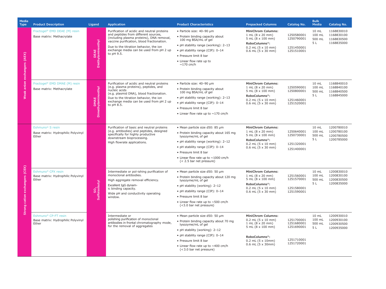| <b>Product Description</b>                  | Ligand                           | <b>Application</b>                                                                                                                                                                                    | <b>Product Characteristics</b>                                                                                                                                                                                    | <b>Prepacked Columns</b>                                                                                                                                | <b>Catalog No.</b>                                                                                                                                                                                            | <b>Bulk</b><br><b>Media</b>                                                                    | <b>Catalog No.</b>                     |
|---------------------------------------------|----------------------------------|-------------------------------------------------------------------------------------------------------------------------------------------------------------------------------------------------------|-------------------------------------------------------------------------------------------------------------------------------------------------------------------------------------------------------------------|---------------------------------------------------------------------------------------------------------------------------------------------------------|---------------------------------------------------------------------------------------------------------------------------------------------------------------------------------------------------------------|------------------------------------------------------------------------------------------------|----------------------------------------|
| Fractogel <sup>®</sup> EMD DEAE (M) resin   |                                  | Purification of acidic and neutral proteins                                                                                                                                                           | · Particle size: 40-90 µm                                                                                                                                                                                         | <b>MiniChrom Columns:</b>                                                                                                                               |                                                                                                                                                                                                               | 10 mL                                                                                          | 1168830010                             |
| Base matrix: Methacrylate                   |                                  | (including plasma proteins), DNA removal,                                                                                                                                                             | • Protein binding capacity about<br>100 mg BSA/mL of gel                                                                                                                                                          | 1 mL (8 × 20 mm)<br>5 mL (8 × 100 mm)                                                                                                                   | 1250580001<br>1250790001                                                                                                                                                                                      | 100 mL<br>500 mL                                                                               | 1168830100<br>1168830500               |
|                                             |                                  |                                                                                                                                                                                                       | • pH stability range (working): 2-13                                                                                                                                                                              |                                                                                                                                                         |                                                                                                                                                                                                               |                                                                                                | 1168835000                             |
|                                             |                                  | exchange media can be used from pH 2 up                                                                                                                                                               | • pH stability range (CIP): 0-14                                                                                                                                                                                  | $0.6$ mL (5 $\times$ 30 mm)                                                                                                                             | 1251510001                                                                                                                                                                                                    |                                                                                                |                                        |
|                                             |                                  |                                                                                                                                                                                                       | • Pressure limit 8 bar                                                                                                                                                                                            |                                                                                                                                                         |                                                                                                                                                                                                               |                                                                                                |                                        |
|                                             |                                  |                                                                                                                                                                                                       | • Linear flow rate up to<br>$\sim$ 170 cm/h                                                                                                                                                                       |                                                                                                                                                         |                                                                                                                                                                                                               |                                                                                                |                                        |
| Fractogel® EMD DMAE (M) resin               |                                  | Purification of acidic and neutral proteins                                                                                                                                                           | · Particle size: 40-90 µm                                                                                                                                                                                         | <b>MiniChrom Columns:</b>                                                                                                                               |                                                                                                                                                                                                               | 10 mL                                                                                          | 1168840010                             |
| Base matrix: Methacrylate                   |                                  | (e.g. plasma proteins), peptides, and<br>nucleic acids<br>(e.g. plasmid DNA), blood fractionation.<br>Due to the titration behavior, the ion<br>exchange media can be used from pH 2 up<br>to pH 8.5. | • Protein binding capacity about<br>100 mg BSA/mL of gel                                                                                                                                                          | 5 mL (8 × 100 mm)                                                                                                                                       | 1250590001<br>1250800001                                                                                                                                                                                      | 500 mL                                                                                         | 1168840100<br>1168840500               |
|                                             |                                  |                                                                                                                                                                                                       | • pH stability range (working): 2-13                                                                                                                                                                              |                                                                                                                                                         |                                                                                                                                                                                                               |                                                                                                | 1168845000                             |
|                                             |                                  |                                                                                                                                                                                                       | • pH stability range (CIP): 0-14                                                                                                                                                                                  | $0.6$ mL (5 x 30 mm)                                                                                                                                    | 1251520001                                                                                                                                                                                                    |                                                                                                |                                        |
|                                             |                                  |                                                                                                                                                                                                       | · Pressure limit 8 bar                                                                                                                                                                                            |                                                                                                                                                         |                                                                                                                                                                                                               |                                                                                                |                                        |
|                                             |                                  |                                                                                                                                                                                                       | $\bullet$ Linear flow rate up to $\sim$ 170 cm/h                                                                                                                                                                  |                                                                                                                                                         |                                                                                                                                                                                                               |                                                                                                |                                        |
| Eshmuno <sup>®</sup> S resin                |                                  | Purification of basic and neutral proteins                                                                                                                                                            | • Mean particle size d50: 85 µm                                                                                                                                                                                   | <b>MiniChrom Columns:</b>                                                                                                                               |                                                                                                                                                                                                               | 10 mL                                                                                          | 1200780010                             |
| Base matrix: Hydrophilic Polyvinyl<br>Ether |                                  | (e.g. antibodies) and peptides, designed<br>specifically for highly productive<br>downstream bioprocessing.<br>High flowrate applications.                                                            | . Protein binding capacity about 165 mg<br>lysozyme/mL of gel                                                                                                                                                     | 1 mL (8 × 20 mm)<br>5 mL (8 x 100 mm)<br>RoboColumns <sup>®</sup> :<br>$0.2$ mL (5 x 10 mm)<br>$0.6$ mL (5 $\times$ 30 mm)                              | 1250640001<br>1250730001                                                                                                                                                                                      | 100 mL<br>500 mL<br>5L                                                                         | 1200780100<br>1200780500<br>1200785000 |
|                                             |                                  |                                                                                                                                                                                                       | • pH stability range (working): 2-12                                                                                                                                                                              |                                                                                                                                                         |                                                                                                                                                                                                               |                                                                                                |                                        |
|                                             |                                  |                                                                                                                                                                                                       | • pH stability range (CIP): 0-14                                                                                                                                                                                  |                                                                                                                                                         |                                                                                                                                                                                                               |                                                                                                |                                        |
|                                             |                                  |                                                                                                                                                                                                       | · Pressure limit 8 bar                                                                                                                                                                                            |                                                                                                                                                         |                                                                                                                                                                                                               |                                                                                                |                                        |
|                                             |                                  |                                                                                                                                                                                                       | • Linear flow rate up to $\sim$ 1000 cm/h<br>(< 2.5 bar net pressure)                                                                                                                                             |                                                                                                                                                         |                                                                                                                                                                                                               |                                                                                                |                                        |
| Eshmuno <sup>®</sup> CPX resin              |                                  | Intermediate or pol-ishing purification of<br>monoclonal antibodies.<br>High aggregate removal efficiency.                                                                                            | • Mean particle size d50: 50 µm                                                                                                                                                                                   | <b>MiniChrom Columns:</b><br>1 mL (8 × 20 mm)<br>5 mL (8 x 100 mm)<br>RoboColumns <sup>®</sup> :<br>$0.2$ mL (5 $\times$ 10 mm)<br>$0.6$ mL (5 x 30 mm) | 1251560001<br>1251570001                                                                                                                                                                                      | 10 mL                                                                                          | 1200830010                             |
| Base matrix: Hydrophilic Polyvinyl<br>Ether | SO <sub>3</sub><br>Sulfoisobutyl |                                                                                                                                                                                                       | • Protein binding capacity about 120 mg<br>lysozyme/mL of gel                                                                                                                                                     |                                                                                                                                                         |                                                                                                                                                                                                               | 100 mL<br>500 mL                                                                               | 1200830100<br>1200830500               |
|                                             |                                  | Excellent IgG dynam-                                                                                                                                                                                  | • pH stability (working): 2-12                                                                                                                                                                                    |                                                                                                                                                         |                                                                                                                                                                                                               |                                                                                                | 1200835000                             |
|                                             |                                  | ic binding capacity.                                                                                                                                                                                  | • pH stability range (CIP): 0-14                                                                                                                                                                                  |                                                                                                                                                         | 1251590001                                                                                                                                                                                                    |                                                                                                |                                        |
|                                             |                                  | window.                                                                                                                                                                                               | • Pressure limit 8 bar                                                                                                                                                                                            |                                                                                                                                                         |                                                                                                                                                                                                               |                                                                                                |                                        |
|                                             |                                  |                                                                                                                                                                                                       | $\bullet$ Linear flow rate up to $\sim$ 500 cm/h<br>(<3.0 bar net pressure)                                                                                                                                       |                                                                                                                                                         |                                                                                                                                                                                                               |                                                                                                |                                        |
| Eshmuno <sup>®</sup> CP-FT resin            |                                  | Intermediate or                                                                                                                                                                                       | • Mean particle size d50: 50 µm                                                                                                                                                                                   | <b>MiniChrom Columns:</b>                                                                                                                               |                                                                                                                                                                                                               | $10 \text{ mL}$                                                                                | 1200930010<br>1200930100<br>1200930500 |
| Base matrix: Hydrophilic Polyvinyl<br>Ether |                                  | polishing purification of monoclonal<br>antibodies in frontal chromatography mode,                                                                                                                    | • Protein binding capacity about 70 mg<br>lysozyme/mL of gel                                                                                                                                                      | $0.2$ mL (5 $\times$ 10 mm)<br>$1 mL (8 \times 20 mm)$                                                                                                  | 1251700001<br>1251680001                                                                                                                                                                                      | 100 mL<br>500 mL                                                                               |                                        |
|                                             |                                  |                                                                                                                                                                                                       | • pH stability (working): 2-12                                                                                                                                                                                    |                                                                                                                                                         |                                                                                                                                                                                                               |                                                                                                | 1200935000                             |
|                                             |                                  |                                                                                                                                                                                                       | • pH stability range (CIP): 0-14                                                                                                                                                                                  |                                                                                                                                                         |                                                                                                                                                                                                               |                                                                                                |                                        |
|                                             |                                  |                                                                                                                                                                                                       | • Pressure limit 8 bar                                                                                                                                                                                            | $0.2$ mL (5 x 10mm)                                                                                                                                     | 1251710001                                                                                                                                                                                                    |                                                                                                |                                        |
|                                             |                                  |                                                                                                                                                                                                       | • Linear flow rate up to ~400 cm/h<br>$(3.0 bar net pressure)$                                                                                                                                                    |                                                                                                                                                         |                                                                                                                                                                                                               |                                                                                                |                                        |
|                                             |                                  | DEAE<br>Diethylaminoethyl<br><b>DMAE</b><br>Dimethylaminoethyl                                                                                                                                        | and peptides from different sources.<br>vaccine purification, blood fractionation.<br>Due to the titration behavior, the ion<br>to pH 9.5.<br>Wide pH and conductivity operating<br>for the removal of aggregates |                                                                                                                                                         | RoboColumns <sup>®</sup> :<br>$0.2$ mL (5 x 10 mm)<br>$1 mL (8 \times 20 mm)$<br>RoboColumns <sup>®</sup> :<br>$0.2$ mL (5 x 10 mm)<br>5 mL (8 × 100 mm)<br>RoboColumns <sup>®</sup> :<br>$0.6$ mL (5 x 30mm) | 1251450001<br>1251460001<br>1251320001<br>1251400001<br>1251580001<br>1251690001<br>1251720001 | 5 L<br>100 mL<br>5L<br>5L<br>5L        |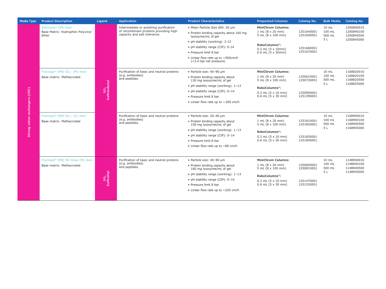| <b>Product Description</b>                                                    | Ligand                                     | <b>Application</b>                                                                                               | <b>Product Characteristics</b>                                                                   | <b>Prepacked Columns</b>                                                                                                                                                                                                                                                                                                                                                                              | <b>Catalog No.</b>                                                               | <b>Bulk Media</b>                          | <b>Catalog No.</b>                                   |
|-------------------------------------------------------------------------------|--------------------------------------------|------------------------------------------------------------------------------------------------------------------|--------------------------------------------------------------------------------------------------|-------------------------------------------------------------------------------------------------------------------------------------------------------------------------------------------------------------------------------------------------------------------------------------------------------------------------------------------------------------------------------------------------------|----------------------------------------------------------------------------------|--------------------------------------------|------------------------------------------------------|
| Eshmuno <sup>®</sup> CPS resin<br>Base Matrix: Hydrophilic Polyvinyl<br>Ether |                                            | Intermediate or polishing purification<br>of recombinant proteins providing high<br>capacity and salt tolerance. | • Mean Particle Size d50: 50 um<br>· Protein binding capacity about 160 mg<br>lysozyme/mL of gel | <b>MiniChrom Columns:</b><br>1 mL (8 × 20 mm)<br>5 mL (8 × 100 mm)                                                                                                                                                                                                                                                                                                                                    | 1251640001<br>1251650001                                                         | 10 mL<br>100 mL<br>500 mL<br>5 L           | 1200840010<br>1200840100<br>1200840500<br>1200845000 |
|                                                                               |                                            |                                                                                                                  | • pH stability range (CIP): 0-14<br>· Pressure limit 8 bar                                       | RoboColumns <sup>®</sup> :<br>$0.2$ mL $(5 \times 10$ mm)<br>$0.6$ mL $(5 \times 30$ mm)                                                                                                                                                                                                                                                                                                              | 1251660001<br>1251670001                                                         |                                            |                                                      |
|                                                                               |                                            |                                                                                                                  | (<3.0 bar net pressure)                                                                          |                                                                                                                                                                                                                                                                                                                                                                                                       |                                                                                  |                                            |                                                      |
| Fractogel® EMD SO <sub>3</sub> - (M) resin<br>Base matrix: Methacrylate       |                                            | Purification of basic and neutral proteins                                                                       | · Particle size: 40-90 µm                                                                        | <b>MiniChrom Columns:</b>                                                                                                                                                                                                                                                                                                                                                                             |                                                                                  | 10 mL                                      | 1168820010                                           |
|                                                                               |                                            | and peptides.                                                                                                    | • Protein binding capacity about<br>130 mg lysozyme/mL of gel                                    | $1 mL (8 \times 20 mm)$<br>5 mL (8 x 100 mm)                                                                                                                                                                                                                                                                                                                                                          | 1250610001<br>1250720001                                                         | 500 mL                                     | 1168820100<br>1168820500<br>1168825000               |
|                                                                               |                                            |                                                                                                                  |                                                                                                  | RoboColumns <sup>®</sup> :                                                                                                                                                                                                                                                                                                                                                                            | 1250900001                                                                       |                                            |                                                      |
|                                                                               |                                            |                                                                                                                  |                                                                                                  | $0.2$ mL (5 x 10 mm)                                                                                                                                                                                                                                                                                                                                                                                  |                                                                                  |                                            |                                                      |
|                                                                               |                                            |                                                                                                                  |                                                                                                  |                                                                                                                                                                                                                                                                                                                                                                                                       |                                                                                  |                                            |                                                      |
|                                                                               |                                            |                                                                                                                  |                                                                                                  |                                                                                                                                                                                                                                                                                                                                                                                                       |                                                                                  |                                            |                                                      |
|                                                                               |                                            | (e.g. antibodies)<br>and peptides.                                                                               |                                                                                                  | 1 mL (8 × 20 mm)<br>5 mL (8 x 100 mm)<br>RoboColumns <sup>®</sup> :                                                                                                                                                                                                                                                                                                                                   |                                                                                  | $10 \text{ mL}$<br>100 mL<br>500 mL<br>5 L | 1168900010<br>1168900100<br>1168900500<br>1168905000 |
| Base matrix: Methacrylate                                                     |                                            |                                                                                                                  | 150 mg lysozyme/mL of gel                                                                        |                                                                                                                                                                                                                                                                                                                                                                                                       | 1251820001                                                                       |                                            |                                                      |
|                                                                               |                                            |                                                                                                                  | • pH stability range (working): 1-13                                                             |                                                                                                                                                                                                                                                                                                                                                                                                       |                                                                                  |                                            |                                                      |
|                                                                               |                                            |                                                                                                                  |                                                                                                  | $0.2$ mL $(5 \times 10$ mm)                                                                                                                                                                                                                                                                                                                                                                           | 1251830001                                                                       |                                            |                                                      |
|                                                                               |                                            |                                                                                                                  |                                                                                                  |                                                                                                                                                                                                                                                                                                                                                                                                       |                                                                                  |                                            |                                                      |
|                                                                               |                                            |                                                                                                                  |                                                                                                  |                                                                                                                                                                                                                                                                                                                                                                                                       |                                                                                  |                                            |                                                      |
| Fractogel <sup>®</sup> EMD SE Hicap (M) resin                                 |                                            | Purification of basic and neutral proteins                                                                       | · Particle size: 40-90 µm                                                                        | <b>MiniChrom Columns:</b>                                                                                                                                                                                                                                                                                                                                                                             |                                                                                  | $10 \text{ mL}$                            | 1148940010                                           |
| Base matrix: Methacrylate                                                     |                                            | and peptides.                                                                                                    | • Protein binding capacity about<br>160 mg lysozyme/mL of gel                                    | 1 mL (8 x 20 mm)<br>5 mL (8 × 100 mm)                                                                                                                                                                                                                                                                                                                                                                 | 1250600001<br>1250810001                                                         | 100 mL<br>500 mL                           | 1148940100<br>1148940500                             |
|                                                                               |                                            |                                                                                                                  | • pH stability range (working): 1-13                                                             | RoboColumns <sup>®</sup> :                                                                                                                                                                                                                                                                                                                                                                            |                                                                                  |                                            | 1148945000                                           |
|                                                                               |                                            |                                                                                                                  | • pH stability range (CIP): 0-14                                                                 | $0.2$ mL $(5 \times 10$ mm)                                                                                                                                                                                                                                                                                                                                                                           | 1251470001<br>1251530001                                                         |                                            |                                                      |
|                                                                               |                                            |                                                                                                                  | • Pressure limit 8 bar                                                                           | $0.6$ mL $(5 \times 30$ mm)                                                                                                                                                                                                                                                                                                                                                                           |                                                                                  |                                            |                                                      |
|                                                                               |                                            |                                                                                                                  | • Linear flow rate up to $\sim$ 220 cm/h                                                         |                                                                                                                                                                                                                                                                                                                                                                                                       |                                                                                  |                                            |                                                      |
|                                                                               | Fractogel® EMD SO <sub>3</sub> - (S) resin | SO <sub>3</sub><br>Sulfoisobutyl<br>SO <sub>3</sub><br>Sulfoethyl                                                | (e.g. antibodies)<br>Purification of basic and neutral proteins<br>(e.g. antibodies)             | • pH stability (working): 2-12<br>• Linear flow rate up to $\sim$ 500cm/h<br>• pH stability range (working): 1-13<br>• pH stability range (CIP): 0-14<br>• Pressure limit 8 bar<br>• Linear flow rate up to $\sim$ 200 cm/h<br>· Particle size: 20-40 µm<br>• Protein binding capacity about<br>• pH stability range (CIP): 0-14<br>· Pressure limit 8 bar<br>• Linear flow rate up to $\sim$ 80 cm/h | $0.6$ mL $(5 \times 30$ mm)<br><b>MiniChrom Columns:</b><br>$0.6$ mL (5 x 30 mm) | 1251390001<br>1251810001<br>1251840001     | 100 mL<br>5 L<br>5 L                                 |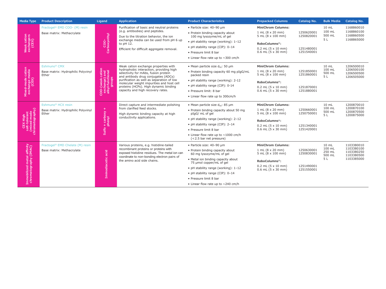| Media Type                                          | <b>Product Description</b>                                                    | Ligand                                                          | <b>Application</b>                                                                                                                                                                                                                                                                                                                     | <b>Product Characteristics</b>                                                                                                                                                                                                                                                                                | <b>Prepacked Columns</b>                                                                                                                                | <b>Catalog No.</b>                                   | <b>Bulk Media</b>                          | Catalog No.                                                        |
|-----------------------------------------------------|-------------------------------------------------------------------------------|-----------------------------------------------------------------|----------------------------------------------------------------------------------------------------------------------------------------------------------------------------------------------------------------------------------------------------------------------------------------------------------------------------------------|---------------------------------------------------------------------------------------------------------------------------------------------------------------------------------------------------------------------------------------------------------------------------------------------------------------|---------------------------------------------------------------------------------------------------------------------------------------------------------|------------------------------------------------------|--------------------------------------------|--------------------------------------------------------------------|
| Weak cation<br>exchangers<br>(CEX)                  | Fractogel® EMD COO- (M) resin<br>Base matrix: Methacrylate                    | COO-<br>Carboxyethyl                                            | Purification of basic and neutral proteins<br>(e.g. antibodies) and peptides.<br>Due to the titration behavior, the ion<br>exchange media can be used from pH 6 up<br>to pH 12.<br>Efficient for difficult aggregate removal.                                                                                                          | · Particle size: 40-90 µm<br>• Protein binding capacity about<br>100 mg lysozyme/mL of gel<br>• pH stability range (working): 1-12<br>• pH stability range (CIP): 0-14<br>• Pressure limit 8 bar<br>• Linear flow rate up to $\sim$ 300 cm/h                                                                  | <b>MiniChrom Columns:</b><br>1 mL (8 × 20 mm)<br>5 mL (8 × 100 mm)<br>RoboColumns <sup>®</sup> :<br>$0.2$ mL (5 x 10 mm)<br>$0.6$ mL (5 x 30 mm)        | 1250620001<br>1250820001<br>1251480001<br>1251540001 | $10 \text{ mL}$<br>100 mL<br>500 mL<br>5 L | 1168860010<br>1168860100<br>1168860500<br>1168865000               |
| Mixed-mode cation<br>exchange media<br>(CEX)        | Eshmuno <sup>®</sup> CMX<br>Base matrix: Hydrophilic Polyvinyl<br>Ether       | COO-(weak cation<br>exchange) and<br>alkyl-functional<br>groups | Weak cation exchange properties with<br>hydrophobic interaction, providing high<br>selectivity for mAbs, fusion protein<br>and antibody drug conjugates (ADCs)<br>purification as well as separation of low<br>molecular weight impurities and host cell<br>proteins (HCPs). High dynamic binding<br>capacity and high recovery rates. | • Mean particle size $d_{50}$ : 50 µm<br>· Protein binding capacity 60 mg pIgG/mL<br>packed resin<br>• pH stability range (working): 2-12<br>• pH stability range (CIP): 0-14<br>· Pressure limit: 8 bar<br>• Linear flow rate up to 300cm/h                                                                  | <b>MiniChrom Columns:</b><br>1 mL (8 x 20 mm)<br>5 mL (8 × 100 mm)<br>RoboColumns <sup>®</sup> :<br>$0.2$ mL (5 x 10 mm)<br>$0.6$ mL (5 x 30 mm)        | 1251850001<br>1251860001<br>1251870001<br>1251880001 | $10 \text{ mL}$<br>100 mL<br>500 mL<br>5 L | 1206500010<br>1206500100<br>1206500500<br>1206505000               |
| salt-tolerant<br>(mixed mode<br>nromatography)      | Eshmuno <sup>®</sup> HCX resin<br>Base matrix: Hydrophilic Polyvinyl<br>Ether | +<br>+ carboxy -<br>phenyl<br>Sulfo                             | Direct capture and intermediate polishing<br>from clarified feed stocks.<br>High dynamic binding capacity at high<br>conductivity applications.                                                                                                                                                                                        | • Mean particle size $d_{50}$ : 85 µm<br>• Protein binding capacity about 50 mg<br>pIqG/ mL of gel<br>• pH stability range (working): 2-12<br>• pH stability range (CIP): 2-14<br>• Pressure limit 8 bar<br>• Linear flow rate up to $\sim$ 1000 cm/h<br>(<2.5 bar net pressure)                              | <b>MiniChrom Columns:</b><br>1 mL (8 x 20 mm)<br>5 mL (8 x 100 mm)<br>RoboColumns <sup>®</sup> :<br>$0.2$ mL $(5 \times 10$ mm)<br>$0.6$ mL (5 x 30 mm) | 1250660001<br>1250750001<br>1251340001<br>1251420001 | $10 \text{ mL}$<br>100 mL<br>500 mL<br>5L  | 1200870010<br>1200870100<br>1200870500<br>1200875000               |
| Immobilized metal affinity<br>chromatography (IMAC) | Fractogel® EMD Chelate (M) resin<br>Base matrix: Methacrylate                 | Iminodiacetic acid                                              | Various proteins, e.g. histidine-tailed<br>recombinant proteins or proteins with<br>exposed histidine residues. The metal ion can<br>coordinate to non-bonding electron pairs of<br>the amino acid side chains.                                                                                                                        | · Particle size: 40-90 µm<br>• Protein binding capacity about<br>60 mg lysozyme/mL of gel<br>• Metal ion binding capacity about<br>75 µmol copper/mL of gel<br>• pH stability range (working): 1-12<br>• pH stability range (CIP): 0-14<br>• Pressure limit 8 bar<br>• Linear flow rate up to $\sim$ 240 cm/h | <b>MiniChrom Columns:</b><br>1 mL (8 x 20 mm)<br>5 mL (8 x 100 mm)<br>RoboColumns <sup>®</sup> :<br>$0.2$ mL (5 x 10 mm)<br>$0.6$ mL (5 x 30 mm)        | 1250630001<br>1250830001<br>1251490001<br>1251550001 | 10 mL<br>100 mL<br>250 mL<br>500 mL<br>5 L | 1103380010<br>1103380100<br>1103380250<br>1103380500<br>1103385000 |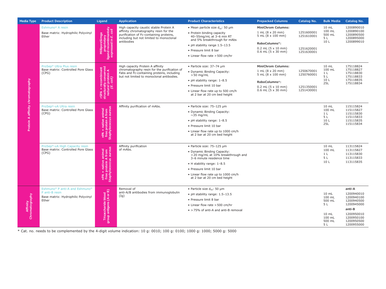| <b>Media Type</b>                 | <b>Product Description</b>                                                                                              | Ligand                                                                                 | <b>Application</b>                                                                                                                                                                  | <b>Product Characteristics</b>                                                                                                                                                                                                                              | <b>Prepacked Columns</b>                                                                                                                                              | Catalog No.                                          | <b>Bulk Media</b>                                                                | <b>Catalog No.</b>                                                                                                               |
|-----------------------------------|-------------------------------------------------------------------------------------------------------------------------|----------------------------------------------------------------------------------------|-------------------------------------------------------------------------------------------------------------------------------------------------------------------------------------|-------------------------------------------------------------------------------------------------------------------------------------------------------------------------------------------------------------------------------------------------------------|-----------------------------------------------------------------------------------------------------------------------------------------------------------------------|------------------------------------------------------|----------------------------------------------------------------------------------|----------------------------------------------------------------------------------------------------------------------------------|
| Protein A affinity chromatography | Eshmuno <sup>®</sup> A resin<br>Base matrix: Hydrophilic Polyvinyl<br>Ether                                             | MilliporeSimga<br>proprietary<br>ligand recombinantely<br>expressed in <i>E. coli</i>  | High capacity caustic stable Protein A<br>affinity chromatography resin for the<br>purification of Fc-containing proteins,<br>including but not limited to monoclonal<br>antibodies | • Mean particle size d <sub>so</sub> : 50 µm<br>• Protein binding capacity<br>40-55mg/mL at 3-6 min RT<br>and 5% breakthrough for mAbs<br>• pH stability range 1.5-13.5<br>· Pressure limit 8 bar<br>• Linear flow rate > 500 cm/hr                         | <b>MiniChrom Columns:</b><br>$1 mL (8 \times 20 mm)$<br>5 mL (8 × 100 mm)<br>RoboColumns <sup>®</sup> :<br>$0.2$ mL $(5 \times 10$ mm)<br>$0.6$ mL $(5 \times 30$ mm) | 1251600001<br>1251610001<br>1251620001<br>1251630001 | 10 mL<br>100 mL<br>500 mL<br>5L<br>10 L                                          | 1200890010<br>1200890100<br>1200890500<br>1200895000<br>1200899010                                                               |
|                                   | ProSep® Ultra Plus resin<br>Base matrix: Controlled Pore Glass<br>(CPG)                                                 | rSPA = recombinant<br>structurally conserved<br>natural protein A<br>natural protein A | High capacity Protein A affinity<br>chromatography resin for the purification of<br>Fabs and Fc-containing proteins, including<br>but not limited to monoclonal antibodies.         | · Particle size: 37-74 µm<br>• Dynamic Binding Capacity:<br>$> 50$ mg/mL<br>• pH stability range: 1-8.5<br>· Pressure limit 10 bar<br>• Linear flow rate up to 500 cm/h<br>at 2 bar at 20 cm bed height                                                     | <b>MiniChrom Columns:</b><br>1 mL (8 x 20 mm)<br>5 mL (8 × 100 mm)<br>RoboColumns <sup>®</sup> :<br>$0.2$ mL $(5 \times 10$ mm)<br>$0.6$ mL $(5 \times 30$ mm)        | 1250670001<br>1250760001<br>1251350001<br>1251430001 | 10 mL<br>100 mL<br>1 <sub>L</sub><br>5L<br>10L<br>25L                            | 175118824<br>175118827<br>175118830<br>175118833<br>175118835<br>175118834                                                       |
|                                   | ProSep®-vA Ultra resin<br>Base matrix: Controlled Pore Glass<br>(CPG)                                                   | nPA = native animal<br>free protein A from<br>Staphylococcus aureus                    | Affinity purification of mAbs.                                                                                                                                                      | · Particle size: 75-125 µm<br>• Dynamic Binding Capacity:<br>$\sim$ 35 mg/mL<br>• pH stability range: 1-8.5<br>· Pressure limit 10 bar<br>• Linear flow rate up to 1000 cm/h<br>at 2 bar at 20 cm bed height                                                |                                                                                                                                                                       |                                                      | $10 \text{ mL}$<br>100 mL<br>1 <sub>L</sub><br>5L<br>10L<br>25L                  | 115115824<br>115115827<br>115115830<br>115115833<br>115115835<br>115115834                                                       |
|                                   | ProSep®-vA High Capacity resin<br>Base matrix: Controlled Pore Glass<br>(CPG)                                           | nPA = native animal<br>free protein A from<br>Staphylococcus aureus                    | Affinity purification<br>of mAbs.                                                                                                                                                   | · Particle size: 75-125 µm<br>· Dynamic Binding Capacity:<br>> 20 mg/mL at 10% breakthrough and<br>3-6 minute residence time<br>• H stability range: 1-8.5<br>· Pressure limit 10 bar<br>• Linear flow rate up to 1000 cm/h<br>at 2 bar at 20 cm bed height |                                                                                                                                                                       |                                                      | $10 \text{ mL}$<br>100 mL<br>1 <sub>L</sub><br>5 L<br>10L                        | 113115824<br>113115827<br>113115830<br>113115833<br>113115835                                                                    |
| Affinity<br>Chromatography        | Eshmuno <sup>®</sup> P anti-A and Eshmuno <sup>®</sup><br>P anti-B resin<br>Base matrix: Hydrophilic Polyvinyl<br>Ether | Trisaccharide blood<br>group antigens (A or B)                                         | Removal of<br>anti-A/B antibodies from immunoglobulin<br>(Ig)                                                                                                                       | • Particle size $d_{50}$ : 50 µm<br>• pH stability range: 1.5-13.5<br>• Pressure limit 8 bar<br>• Linear flow rate > 500 cm/hr<br>• > 75% of anti-A and anti-B removal                                                                                      |                                                                                                                                                                       |                                                      | $10$ mL<br>100 mL<br>500 mL<br>5 L<br>$10 \text{ mL}$<br>100 mL<br>500 mL<br>5 L | anti-A<br>1200940010<br>1200940100<br>1200940500<br>1200945000<br>anti-B<br>1200950010<br>1200950100<br>1200950500<br>1200955000 |

\* Cat. no. needs to be complemented by the 4-digit volume indication: 10 g: 0010; 100 g: 0100; 1000 g: 1000; 5000 g: 5000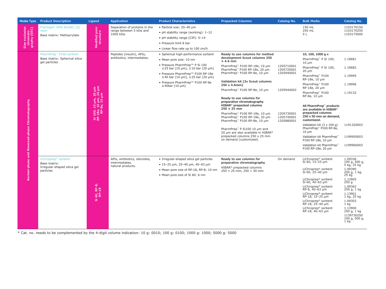| <b>Media Type</b>                              | <b>Product Description</b>                                                                  | Ligand                                                       | <b>Application</b>                                                    | <b>Product Characteristics</b>                                                                                                                                                                                                                                                                      | <b>Prepacked Columns</b>                                                                                                                                                                                                                                                                                                                                                                                                                                                                                                                                                                                                                                      | <b>Catalog No.</b>                                                                             | <b>Bulk Media</b>                                                                                                                                                                                                                                                                                                                                                                                                                                                                                                                                                                     | Catalog No.                                                                                                                                                                                                                                |
|------------------------------------------------|---------------------------------------------------------------------------------------------|--------------------------------------------------------------|-----------------------------------------------------------------------|-----------------------------------------------------------------------------------------------------------------------------------------------------------------------------------------------------------------------------------------------------------------------------------------------------|---------------------------------------------------------------------------------------------------------------------------------------------------------------------------------------------------------------------------------------------------------------------------------------------------------------------------------------------------------------------------------------------------------------------------------------------------------------------------------------------------------------------------------------------------------------------------------------------------------------------------------------------------------------|------------------------------------------------------------------------------------------------|---------------------------------------------------------------------------------------------------------------------------------------------------------------------------------------------------------------------------------------------------------------------------------------------------------------------------------------------------------------------------------------------------------------------------------------------------------------------------------------------------------------------------------------------------------------------------------------|--------------------------------------------------------------------------------------------------------------------------------------------------------------------------------------------------------------------------------------------|
| Size exclusion<br>chromato-<br>graphy (SEC)    | Fractogel® EMD BioSEC (S)<br>resin<br>Base matrix: Methacrylate                             | Modified pore<br>structure                                   | Separation of proteins in the<br>range between 5 kDa and<br>1000 kDa. | • Particle size: 20-40 µm<br>• pH stability range (working): 1-12<br>• pH stability range (CIP): 0-14<br>• Pressure limit 8 bar<br>• Linear flow rate up to 100 cm/h                                                                                                                                |                                                                                                                                                                                                                                                                                                                                                                                                                                                                                                                                                                                                                                                               |                                                                                                | 150 mL<br>250 mL<br>5 L                                                                                                                                                                                                                                                                                                                                                                                                                                                                                                                                                               | 1103170150<br>1103170250<br>1103175000                                                                                                                                                                                                     |
| Normal-phase and Reversed-phase Chromatography | PharmPrep <sup>"</sup> P100 sorbent<br>Base matrix: Spherical silica<br>gel particles       | Si 100, 10 µm, 20 µm<br>RP-18e, 10 µm, 20 µm<br>RP-8e, 10 µm | Peptides (insulin), APIs,<br>antibiotics, intermediates.              | • Spherical high-performance sorbent<br>• Mean pore size: 10 nm<br>● Pressure PharmPrep <sup>™</sup> P Si 100<br>≤ 25 bar (10 µm), $\leq$ 10 bar (20 µm)<br>• Pressure PharmPrep™ P100 RP-18e<br>$≤ 40$ bar (10 µm), $≤ 25$ bar (20 µm)<br>● Pressure PharmPrep™ P100 RP-8e<br>$\leq$ 40bar (10 µm) | Ready to use columns for method<br>development Scout columns 250<br>$\times$ 4.6 mm<br>PharmPrep <sup>"</sup> P100 RP-18e, 10 µm<br>PharmPrep <sup>™</sup> P100 RP-18e, 20 µm<br>PharmPrep" P100 RP-8e, 10 µm<br>Validation kit (3x Scout columns<br>250 x 4.6mm)<br>PharmPrep™ P100 RP-8e, 10 µm<br>Ready to use columns for<br>preparative chromatography<br>HIBAR <sup>®</sup> prepacked columns<br>$250 \times 25$ mm<br>PharmPrep" P100 RP-18e, 10 µm<br>PharmPrep" P100 RP-18e, 20 µm<br>PharmPrep" P100 RP-8e, 10 µm<br>PharmPrep" P Si100 10 µm and<br>20 um are also available in HIBAR®<br>prepacked columns 250 x 25 mm<br>on demand (customized). | 1205710001<br>1205720001<br>1205940001<br>1205940003<br>1205730001<br>1205740001<br>1205880001 | 10, 100, 1000 g x<br>PharmPrep" P Si 100,<br>$10 \mu m$<br>PharmPrep" P Si 100,<br>$20 \mu m$<br>PharmPrep <sup>**</sup> P100<br>RP-18e, 10 µm<br>PharmPrep <sup>"</sup> P100<br>RP-18e, 20 µm<br>PharmPrep <sup>"</sup> P100<br>RP-8e, 10 µm<br>All PharmPrep" products<br>are available in HIBAR®<br>prepacked columns<br>250 x 50 mm on demand,<br>customized.<br>Validation kit $(3 \times 100 \text{ q})$<br>PharmPrep™ P100 RP-8e,<br>$10 \mu m$<br>Validation kit PharmPrep <sup>"</sup><br>P100 RP-18e, 10 µm<br>Validation kit PharmPrep <sup>**</sup><br>P100 RP-18e, 20 µm | 1.19681<br>1.19682<br>1.19995<br>1.19996<br>1.19132<br>1191320003<br>1199950003<br>1199960003                                                                                                                                              |
|                                                | LiChroprep <sup>®</sup> sorbent<br>Base matrix:<br>Irregular-shaped silica gel<br>particles | Si 60, RP-8,<br>RP-18                                        | APIs, antibiotics, steroides,<br>intermediates,<br>natural products.  | · Irregular-shaped silica gel particles<br>$\bullet$ 15-25 µm, 25-40 µm, 40-63 µm<br>• Mean pore size of RP-18, RP-8: 10 nm<br>• Mean pore size of Si 60: 6 nm                                                                                                                                      | Ready to use columns for<br>preparative chromatography<br>HIBAR <sup>®</sup> prepacked columns<br>250 × 25 mm, 250 × 50 mm                                                                                                                                                                                                                                                                                                                                                                                                                                                                                                                                    | On demand                                                                                      | LiChroprep <sup>®</sup> sorbent<br>Si $60, 15-25 \mu m$<br>LiChroprep <sup>®</sup> sorbent<br>Si 60, 25-40 µm<br>LiChroprep <sup>®</sup> sorbent<br>Si 60, 40-63 um<br>LiChroprep <sup>®</sup> sorbent<br>RP-8, 40-63 µm<br>LiChroprep <sup>®</sup> sorbent<br>RP-18, 15-25 µm<br>LiChroprep <sup>®</sup> sorbent<br>RP-18, 25-40 um<br>LiChroprep <sup>®</sup> sorbent<br>RP-18, 40-63 µm                                                                                                                                                                                            | 1.09336<br>100 g, 500 g,<br>5 kg, 25 kg<br>1.09390<br>250 g, 1 kg,<br>$25$ kg<br>1.13905<br>250g<br>1.09362<br>250 g, 1 kg<br>1.13901<br>1 kg, 25 kg<br>1.09303<br>1 kg<br>1.13900<br>250 g, 1 kg<br>1139730250<br>100 g, 500 g,<br>$1$ kg |

\* Cat. no. needs to be complemented by the 4-digit volume indication: 10 g: 0010; 100 g: 0100; 1000 g: 1000; 5000 g: 5000